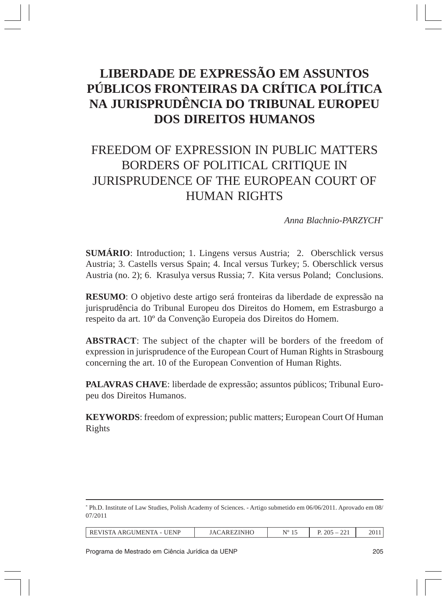# LIBERDADE DE EXPRESSÃO EM ASSUNTOS PÚBLICOS FRONTEIRAS DA CRÍTICA POLÍTICA NA JURISPRUDÊNCIA DO TRIBUNAL EUROPEU **DOS DIREITOS HUMANOS**

## FREEDOM OF EXPRESSION IN PUBLIC MATTERS BORDERS OF POLITICAL CRITIQUE IN **JURISPRUDENCE OF THE EUROPEAN COURT OF HUMAN RIGHTS**

Anna Blachnio-PARZYCH\*

SUMÁRIO: Introduction; 1. Lingens versus Austria; 2. Oberschlick versus Austria; 3. Castells versus Spain; 4. Incal versus Turkey; 5. Oberschlick versus Austria (no. 2); 6. Krasulya versus Russia; 7. Kita versus Poland; Conclusions.

**RESUMO**: O objetivo deste artigo será fronteiras da liberdade de expressão na jurisprudência do Tribunal Europeu dos Direitos do Homem, em Estrasburgo a respeito da art. 10° da Convenção Europeia dos Direitos do Homem.

**ABSTRACT:** The subject of the chapter will be borders of the freedom of expression in jurisprudence of the European Court of Human Rights in Strasbourg concerning the art. 10 of the European Convention of Human Rights.

**PALAVRAS CHAVE:** liberdade de expressão; assuntos públicos; Tribunal Europeu dos Direitos Humanos.

**KEYWORDS:** freedom of expression; public matters; European Court Of Human Rights

<sup>\*</sup> Ph.D. Institute of Law Studies, Polish Academy of Sciences. - Artigo submetido em 06/06/2011. Aprovado em 08/  $07/2011$ 

| REVISTA ARGUMENTA - UENP | <b>JACAREZINHO</b> | $N^{\rm o}$ | 205. |  |
|--------------------------|--------------------|-------------|------|--|
|--------------------------|--------------------|-------------|------|--|

Programa de Mestrado em Ciência Jurídica da UENP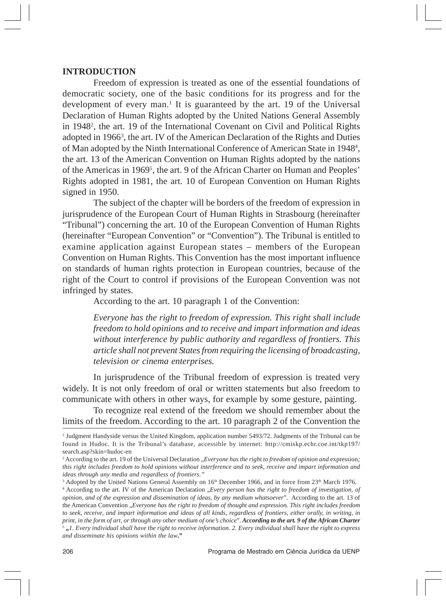## **INTRODUCTION**

Freedom of expression is treated as one of the essential foundations of democratic society, one of the basic conditions for its progress and for the development of every man.<sup>1</sup> It is guaranteed by the art. 19 of the Universal Declaration of Human Rights adopted by the United Nations General Assembly in 1948<sup>2</sup>, the art. 19 of the International Covenant on Civil and Political Rights adopted in 1966<sup>3</sup>, the art. IV of the American Declaration of the Rights and Duties of Man adopted by the Ninth International Conference of American State in 1948<sup>4</sup>. the art. 13 of the American Convention on Human Rights adopted by the nations of the Americas in 1969<sup>5</sup>, the art. 9 of the African Charter on Human and Peoples' Rights adopted in 1981, the art. 10 of European Convention on Human Rights signed in 1950.

The subject of the chapter will be borders of the freedom of expression in jurisprudence of the European Court of Human Rights in Strasbourg (hereinafter "Tribunal") concerning the art. 10 of the European Convention of Human Rights (hereinafter "European Convention" or "Convention"). The Tribunal is entitled to examine application against European states – members of the European Convention on Human Rights. This Convention has the most important influence on standards of human rights protection in European countries, because of the right of the Court to control if provisions of the European Convention was not infringed by states.

According to the art. 10 paragraph 1 of the Convention:

Everyone has the right to freedom of expression. This right shall include freedom to hold opinions and to receive and impart information and ideas without interference by public authority and regardless of frontiers. This article shall not prevent States from requiring the licensing of broadcasting, television or cinema enterprises.

In jurisprudence of the Tribunal freedom of expression is treated very widely. It is not only freedom of oral or written statements but also freedom to communicate with others in other ways, for example by some gesture, painting.

To recognize real extend of the freedom we should remember about the limits of the freedom. According to the art. 10 paragraph 2 of the Convention the

<sup>&</sup>lt;sup>1</sup> Judgment Handyside versus the United Kingdom, application number 5493/72. Judgments of the Tribunal can be found in Hudoc. It is the Tribunal's database, accessible by internet: http://cmiskp.echr.coe.int/tkp197/ search.asp?skin=hudoc-en

<sup>&</sup>lt;sup>2</sup> According to the art. 19 of the Universal Declaration "Everyone has the right to freedom of opinion and expression; this right includes freedom to hold opinions without interference and to seek, receive and impart information and ideas through any media and regardless of frontiers."

<sup>&</sup>lt;sup>3</sup> Adopted by the United Nations General Assembly on 16<sup>th</sup> December 1966, and in force from 23<sup>th</sup> March 1976.

<sup>&</sup>lt;sup>4</sup> According to the art. IV of the American Declaration "Every person has the right to freedom of investigation, of opinion, and of the expression and dissemination of ideas, by any medium whatsoever". According to the art. 13 of the American Convention "Everyone has the right to freedom of thought and expression. This right includes freedom to seek, receive, and impart information and ideas of all kinds, regardless of frontiers, either orally, in writing, in print, in the form of art, or through any other medium of one's choice". According to the art. 9 of the African Charter "I. Every individual shall have the right to receive information. 2. Every individual shall have the right to express and disseminate his opinions within the law."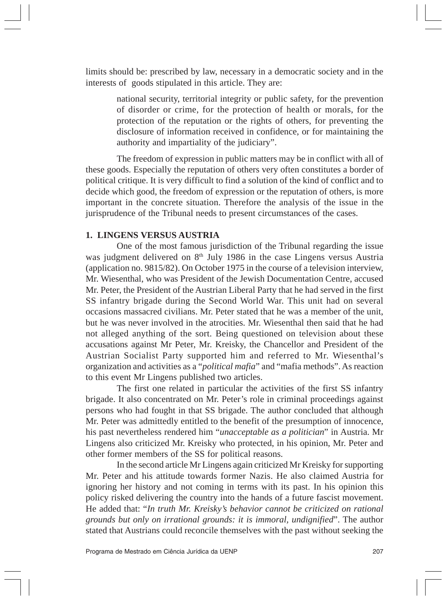limits should be: prescribed by law, necessary in a democratic society and in the interests of goods stipulated in this article. They are:

> national security, territorial integrity or public safety, for the prevention of disorder or crime, for the protection of health or morals, for the protection of the reputation or the rights of others, for preventing the disclosure of information received in confidence, or for maintaining the authority and impartiality of the judiciary".

The freedom of expression in public matters may be in conflict with all of these goods. Especially the reputation of others very often constitutes a border of political critique. It is very difficult to find a solution of the kind of conflict and to decide which good, the freedom of expression or the reputation of others, is more important in the concrete situation. Therefore the analysis of the issue in the jurisprudence of the Tribunal needs to present circumstances of the cases.

#### **1. LINGENS VERSUS AUSTRIA**

One of the most famous jurisdiction of the Tribunal regarding the issue was judgment delivered on 8<sup>th</sup> July 1986 in the case Lingens versus Austria (application no. 9815/82). On October 1975 in the course of a television interview, Mr. Wiesenthal, who was President of the Jewish Documentation Centre, accused Mr. Peter, the President of the Austrian Liberal Party that he had served in the first SS infantry brigade during the Second World War. This unit had on several occasions massacred civilians. Mr. Peter stated that he was a member of the unit, but he was never involved in the atrocities. Mr. Wiesenthal then said that he had not alleged anything of the sort. Being questioned on television about these accusations against Mr Peter, Mr. Kreisky, the Chancellor and President of the Austrian Socialist Party supported him and referred to Mr. Wiesenthal's organization and activities as a "*political mafia*" and "mafia methods". As reaction to this event Mr Lingens published two articles.

The first one related in particular the activities of the first SS infantry brigade. It also concentrated on Mr. Peter's role in criminal proceedings against persons who had fought in that SS brigade. The author concluded that although Mr. Peter was admittedly entitled to the benefit of the presumption of innocence, his past nevertheless rendered him "*unacceptable as a politician*" in Austria. Mr Lingens also criticized Mr. Kreisky who protected, in his opinion, Mr. Peter and other former members of the SS for political reasons.

In the second article Mr Lingens again criticized Mr Kreisky for supporting Mr. Peter and his attitude towards former Nazis. He also claimed Austria for ignoring her history and not coming in terms with its past. In his opinion this policy risked delivering the country into the hands of a future fascist movement. He added that: "In truth Mr. Kreisky's behavior cannot be criticized on rational grounds but only on irrational grounds: it is immoral, undignified". The author stated that Austrians could reconcile themselves with the past without seeking the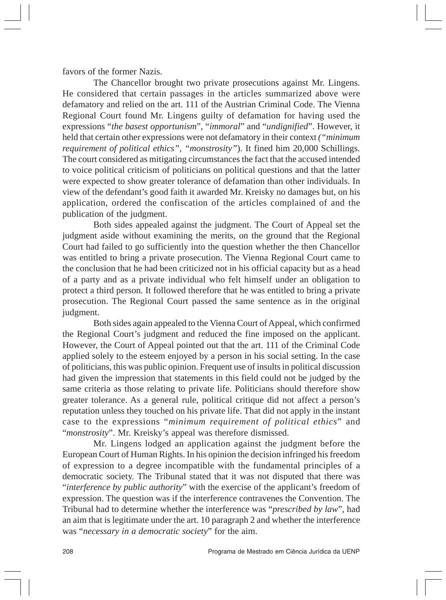favors of the former Nazis.

The Chancellor brought two private prosecutions against Mr. Lingens. He considered that certain passages in the articles summarized above were defamatory and relied on the art. 111 of the Austrian Criminal Code. The Vienna Regional Court found Mr. Lingens guilty of defamation for having used the expressions "the basest opportunism", "immoral" and "undignified". However, it held that certain other expressions were not defamatory in their context ("minimum" requirement of political ethics", "monstrosity"). It fined him 20,000 Schillings. The court considered as mitigating circumstances the fact that the accused intended to voice political criticism of politicians on political questions and that the latter were expected to show greater tolerance of defamation than other individuals. In view of the defendant's good faith it awarded Mr. Kreisky no damages but, on his application, ordered the confiscation of the articles complained of and the publication of the judgment.

Both sides appealed against the judgment. The Court of Appeal set the judgment aside without examining the merits, on the ground that the Regional Court had failed to go sufficiently into the question whether the then Chancellor was entitled to bring a private prosecution. The Vienna Regional Court came to the conclusion that he had been criticized not in his official capacity but as a head of a party and as a private individual who felt himself under an obligation to protect a third person. It followed therefore that he was entitled to bring a private prosecution. The Regional Court passed the same sentence as in the original judgment.

Both sides again appealed to the Vienna Court of Appeal, which confirmed the Regional Court's judgment and reduced the fine imposed on the applicant. However, the Court of Appeal pointed out that the art. 111 of the Criminal Code applied solely to the esteem enjoyed by a person in his social setting. In the case of politicians, this was public opinion. Frequent use of insults in political discussion had given the impression that statements in this field could not be judged by the same criteria as those relating to private life. Politicians should therefore show greater tolerance. As a general rule, political critique did not affect a person's reputation unless they touched on his private life. That did not apply in the instant case to the expressions "minimum requirement of political ethics" and "*monstrosity*". Mr. Kreisky's appeal was therefore dismissed.

Mr. Lingens lodged an application against the judgment before the European Court of Human Rights. In his opinion the decision infringed his freedom of expression to a degree incompatible with the fundamental principles of a democratic society. The Tribunal stated that it was not disputed that there was "interference by public authority" with the exercise of the applicant's freedom of expression. The question was if the interference contravenes the Convention. The Tribunal had to determine whether the interference was "*prescribed by law*", had an aim that is legitimate under the art. 10 paragraph 2 and whether the interference was "necessary in a democratic society" for the aim.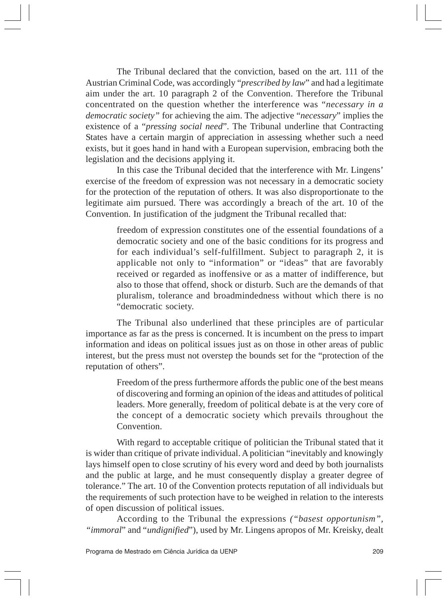The Tribunal declared that the conviction, based on the art, 111 of the Austrian Criminal Code, was accordingly "*prescribed by law*" and had a legitimate aim under the art. 10 paragraph 2 of the Convention. Therefore the Tribunal concentrated on the question whether the interference was "necessary in a *democratic society*" for achieving the aim. The adjective "*necessary*" implies the existence of a "*pressing social need*". The Tribunal underline that Contracting States have a certain margin of appreciation in assessing whether such a need exists, but it goes hand in hand with a European supervision, embracing both the legislation and the decisions applying it.

In this case the Tribunal decided that the interference with Mr. Lingens' exercise of the freedom of expression was not necessary in a democratic society for the protection of the reputation of others. It was also disproportionate to the legitimate aim pursued. There was accordingly a breach of the art. 10 of the Convention. In justification of the judgment the Tribunal recalled that:

> freedom of expression constitutes one of the essential foundations of a democratic society and one of the basic conditions for its progress and for each individual's self-fulfillment. Subject to paragraph 2, it is applicable not only to "information" or "ideas" that are favorably received or regarded as inoffensive or as a matter of indifference, but also to those that offend, shock or disturb. Such are the demands of that pluralism, tolerance and broadmindedness without which there is no "democratic society.

The Tribunal also underlined that these principles are of particular importance as far as the press is concerned. It is incumbent on the press to impart information and ideas on political issues just as on those in other areas of public interest, but the press must not overstep the bounds set for the "protection of the reputation of others".

> Freedom of the press furthermore affords the public one of the best means of discovering and forming an opinion of the ideas and attitudes of political leaders. More generally, freedom of political debate is at the very core of the concept of a democratic society which prevails throughout the Convention.

With regard to acceptable critique of politician the Tribunal stated that it is wider than critique of private individual. A politician "inevitably and knowingly lays himself open to close scrutiny of his every word and deed by both journalists and the public at large, and he must consequently display a greater degree of tolerance." The art. 10 of the Convention protects reputation of all individuals but the requirements of such protection have to be weighed in relation to the interests of open discussion of political issues.

According to the Tribunal the expressions ("basest opportunism", "immoral" and "undignified"), used by Mr. Lingens apropos of Mr. Kreisky, dealt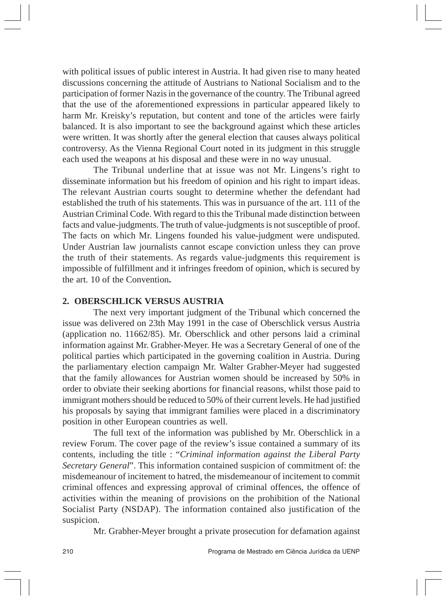with political issues of public interest in Austria. It had given rise to many heated discussions concerning the attitude of Austrians to National Socialism and to the participation of former Nazis in the governance of the country. The Tribunal agreed that the use of the aforementioned expressions in particular appeared likely to harm Mr. Kreisky's reputation, but content and tone of the articles were fairly balanced. It is also important to see the background against which these articles were written. It was shortly after the general election that causes always political controversy. As the Vienna Regional Court noted in its judgment in this struggle each used the weapons at his disposal and these were in no way unusual.

The Tribunal underline that at issue was not Mr. Lingens's right to disseminate information but his freedom of opinion and his right to impart ideas. The relevant Austrian courts sought to determine whether the defendant had established the truth of his statements. This was in pursuance of the art. 111 of the Austrian Criminal Code. With regard to this the Tribunal made distinction between facts and value-judgments. The truth of value-judgments is not susceptible of proof. The facts on which Mr. Lingens founded his value-judgment were undisputed. Under Austrian law journalists cannot escape conviction unless they can prove the truth of their statements. As regards value-judgments this requirement is impossible of fulfillment and it infringes freedom of opinion, which is secured by the art. 10 of the Convention.

#### 2. OBERSCHLICK VERSUS AUSTRIA

The next very important judgment of the Tribunal which concerned the issue was delivered on 23th May 1991 in the case of Oberschlick versus Austria (application no. 11662/85). Mr. Oberschlick and other persons laid a criminal information against Mr. Grabher-Meyer. He was a Secretary General of one of the political parties which participated in the governing coalition in Austria. During the parliamentary election campaign Mr. Walter Grabher-Meyer had suggested that the family allowances for Austrian women should be increased by 50% in order to obviate their seeking abortions for financial reasons, whilst those paid to immigrant mothers should be reduced to 50% of their current levels. He had justified his proposals by saying that immigrant families were placed in a discriminatory position in other European countries as well.

The full text of the information was published by Mr. Oberschlick in a review Forum. The cover page of the review's issue contained a summary of its contents, including the title : "Criminal information against the Liberal Party Secretary General". This information contained suspicion of commitment of: the misdemeanour of incitement to hatred, the misdemeanour of incitement to commit criminal offences and expressing approval of criminal offences, the offence of activities within the meaning of provisions on the prohibition of the National Socialist Party (NSDAP). The information contained also justification of the suspicion.

Mr. Grabher-Meyer brought a private prosecution for defamation against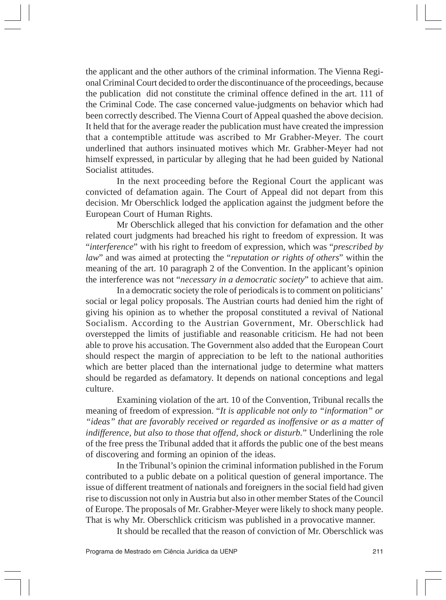the applicant and the other authors of the criminal information. The Vienna Regional Criminal Court decided to order the discontinuance of the proceedings, because the publication did not constitute the criminal offence defined in the art. 111 of the Criminal Code. The case concerned value-judgments on behavior which had been correctly described. The Vienna Court of Appeal quashed the above decision. It held that for the average reader the publication must have created the impression that a contemptible attitude was ascribed to Mr Grabher-Meyer. The court underlined that authors insinuated motives which Mr. Grabher-Meyer had not himself expressed, in particular by alleging that he had been guided by National Socialist attitudes.

In the next proceeding before the Regional Court the applicant was convicted of defamation again. The Court of Appeal did not depart from this decision. Mr Oberschlick lodged the application against the judgment before the European Court of Human Rights.

Mr Oberschlick alleged that his conviction for defamation and the other related court judgments had breached his right to freedom of expression. It was "interference" with his right to freedom of expression, which was "prescribed by law" and was aimed at protecting the "reputation or rights of others" within the meaning of the art. 10 paragraph 2 of the Convention. In the applicant's opinion the interference was not "*necessary in a democratic society*" to achieve that aim.

In a democratic society the role of periodicals is to comment on politicians' social or legal policy proposals. The Austrian courts had denied him the right of giving his opinion as to whether the proposal constituted a revival of National Socialism. According to the Austrian Government, Mr. Oberschlick had overstepped the limits of justifiable and reasonable criticism. He had not been able to prove his accusation. The Government also added that the European Court should respect the margin of appreciation to be left to the national authorities which are better placed than the international judge to determine what matters should be regarded as defamatory. It depends on national conceptions and legal culture

Examining violation of the art. 10 of the Convention, Tribunal recalls the meaning of freedom of expression. "It is applicable not only to "information" or "ideas" that are favorably received or regarded as inoffensive or as a matter of indifference, but also to those that offend, shock or disturb." Underlining the role of the free press the Tribunal added that it affords the public one of the best means of discovering and forming an opinion of the ideas.

In the Tribunal's opinion the criminal information published in the Forum contributed to a public debate on a political question of general importance. The issue of different treatment of nationals and foreigners in the social field had given rise to discussion not only in Austria but also in other member States of the Council of Europe. The proposals of Mr. Grabher-Meyer were likely to shock many people. That is why Mr. Oberschlick criticism was published in a provocative manner.

It should be recalled that the reason of conviction of Mr. Oberschlick was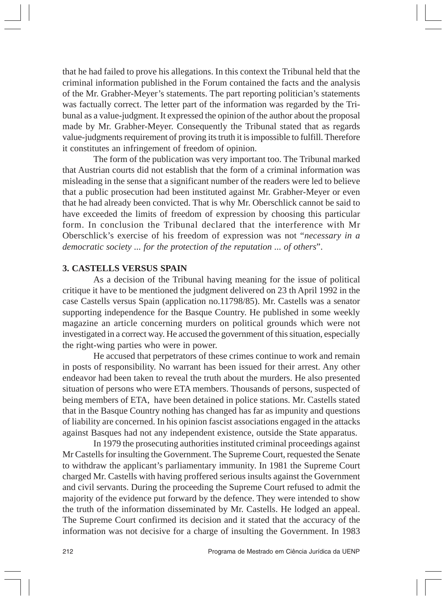that he had failed to prove his allegations. In this context the Tribunal held that the criminal information published in the Forum contained the facts and the analysis of the Mr. Grabher-Meyer's statements. The part reporting politician's statements was factually correct. The letter part of the information was regarded by the Tribunal as a value-judgment. It expressed the opinion of the author about the proposal made by Mr. Grabher-Meyer. Consequently the Tribunal stated that as regards value-judgments requirement of proving its truth it is impossible to fulfill. Therefore it constitutes an infringement of freedom of opinion.

The form of the publication was very important too. The Tribunal marked that Austrian courts did not establish that the form of a criminal information was misleading in the sense that a significant number of the readers were led to believe that a public prosecution had been instituted against Mr. Grabher-Meyer or even that he had already been convicted. That is why Mr. Oberschlick cannot be said to have exceeded the limits of freedom of expression by choosing this particular form. In conclusion the Tribunal declared that the interference with Mr Oberschlick's exercise of his freedom of expression was not "*necessary in a* democratic society ... for the protection of the reputation ... of others".

## **3. CASTELLS VERSUS SPAIN**

As a decision of the Tribunal having meaning for the issue of political critique it have to be mentioned the judgment delivered on 23 th April 1992 in the case Castells versus Spain (application no.11798/85). Mr. Castells was a senator supporting independence for the Basque Country. He published in some weekly magazine an article concerning murders on political grounds which were not investigated in a correct way. He accused the government of this situation, especially the right-wing parties who were in power.

He accused that perpetrators of these crimes continue to work and remain in posts of responsibility. No warrant has been issued for their arrest. Any other endeavor had been taken to reveal the truth about the murders. He also presented situation of persons who were ETA members. Thousands of persons, suspected of being members of ETA, have been detained in police stations. Mr. Castells stated that in the Basque Country nothing has changed has far as impunity and questions of liability are concerned. In his opinion fascist associations engaged in the attacks against Basques had not any independent existence, outside the State apparatus.

In 1979 the prosecuting authorities instituted criminal proceedings against Mr Castells for insulting the Government. The Supreme Court, requested the Senate to withdraw the applicant's parliamentary immunity. In 1981 the Supreme Court charged Mr. Castells with having proffered serious insults against the Government and civil servants. During the proceeding the Supreme Court refused to admit the majority of the evidence put forward by the defence. They were intended to show the truth of the information disseminated by Mr. Castells. He lodged an appeal. The Supreme Court confirmed its decision and it stated that the accuracy of the information was not decisive for a charge of insulting the Government. In 1983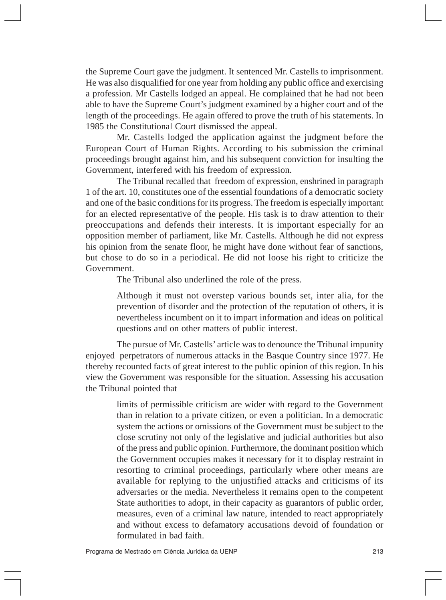the Supreme Court gave the judgment. It sentenced Mr. Castells to imprisonment. He was also disqualified for one year from holding any public office and exercising a profession. Mr Castells lodged an appeal. He complained that he had not been able to have the Supreme Court's judgment examined by a higher court and of the length of the proceedings. He again offered to prove the truth of his statements. In 1985 the Constitutional Court dismissed the appeal.

Mr. Castells lodged the application against the judgment before the European Court of Human Rights. According to his submission the criminal proceedings brought against him, and his subsequent conviction for insulting the Government, interfered with his freedom of expression.

The Tribunal recalled that freedom of expression, enshrined in paragraph 1 of the art. 10, constitutes one of the essential foundations of a democratic society and one of the basic conditions for its progress. The freedom is especially important for an elected representative of the people. His task is to draw attention to their preoccupations and defends their interests. It is important especially for an opposition member of parliament, like Mr. Castells. Although he did not express his opinion from the senate floor, he might have done without fear of sanctions, but chose to do so in a periodical. He did not loose his right to criticize the Government.

The Tribunal also underlined the role of the press.

Although it must not overstep various bounds set, inter alia, for the prevention of disorder and the protection of the reputation of others, it is nevertheless incumbent on it to impart information and ideas on political questions and on other matters of public interest.

The pursue of Mr. Castells' article was to denounce the Tribunal impunity enjoyed perpetrators of numerous attacks in the Basque Country since 1977. He thereby recounted facts of great interest to the public opinion of this region. In his view the Government was responsible for the situation. Assessing his accusation the Tribunal pointed that

> limits of permissible criticism are wider with regard to the Government than in relation to a private citizen, or even a politician. In a democratic system the actions or omissions of the Government must be subject to the close scrutiny not only of the legislative and judicial authorities but also of the press and public opinion. Furthermore, the dominant position which the Government occupies makes it necessary for it to display restraint in resorting to criminal proceedings, particularly where other means are available for replying to the unjustified attacks and criticisms of its adversaries or the media. Nevertheless it remains open to the competent State authorities to adopt, in their capacity as guarantors of public order, measures, even of a criminal law nature, intended to react appropriately and without excess to defamatory accusations devoid of foundation or formulated in bad faith.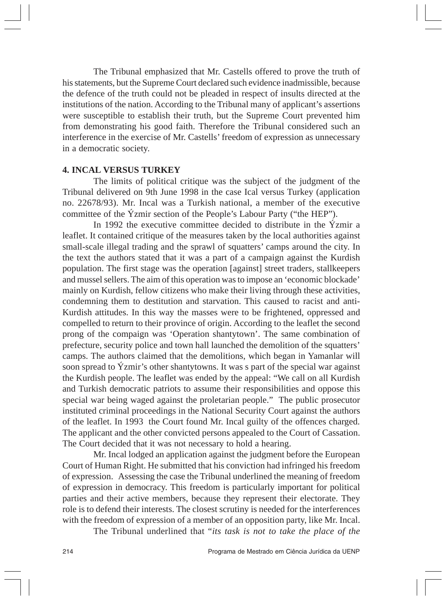The Tribunal emphasized that Mr. Castells offered to prove the truth of his statements, but the Supreme Court declared such evidence inadmissible, because the defence of the truth could not be pleaded in respect of insults directed at the institutions of the nation. According to the Tribunal many of applicant's assertions were susceptible to establish their truth, but the Supreme Court prevented him from demonstrating his good faith. Therefore the Tribunal considered such an interference in the exercise of Mr. Castells' freedom of expression as unnecessary in a democratic society.

## **4. INCAL VERSUS TURKEY**

The limits of political critique was the subject of the judgment of the Tribunal delivered on 9th June 1998 in the case Ical versus Turkey (application no. 22678/93). Mr. Incal was a Turkish national, a member of the executive committee of the Ýzmir section of the People's Labour Party ("the HEP").

In 1992 the executive committee decided to distribute in the  $\hat{Y}$ zmir a leaflet. It contained critique of the measures taken by the local authorities against small-scale illegal trading and the sprawl of squatters' camps around the city. In the text the authors stated that it was a part of a campaign against the Kurdish population. The first stage was the operation [against] street traders, stallkeepers and mussel sellers. The aim of this operation was to impose an 'economic blockade' mainly on Kurdish, fellow citizens who make their living through these activities, condemning them to destitution and starvation. This caused to racist and anti-Kurdish attitudes. In this way the masses were to be frightened, oppressed and compelled to return to their province of origin. According to the leaflet the second prong of the compaign was 'Operation shantytown'. The same combination of prefecture, security police and town hall launched the demolition of the squatters' camps. The authors claimed that the demolitions, which began in Yamanlar will soon spread to Yzmir's other shantytowns. It was s part of the special war against the Kurdish people. The leaflet was ended by the appeal: "We call on all Kurdish" and Turkish democratic patriots to assume their responsibilities and oppose this special war being waged against the proletarian people." The public prosecutor instituted criminal proceedings in the National Security Court against the authors of the leaflet. In 1993 the Court found Mr. Incal guilty of the offences charged. The applicant and the other convicted persons appealed to the Court of Cassation. The Court decided that it was not necessary to hold a hearing.

Mr. Incal lodged an application against the judgment before the European Court of Human Right. He submitted that his conviction had infringed his freedom of expression. Assessing the case the Tribunal underlined the meaning of freedom of expression in democracy. This freedom is particularly important for political parties and their active members, because they represent their electorate. They role is to defend their interests. The closest scrutiny is needed for the interferences with the freedom of expression of a member of an opposition party, like Mr. Incal.

The Tribunal underlined that "its task is not to take the place of the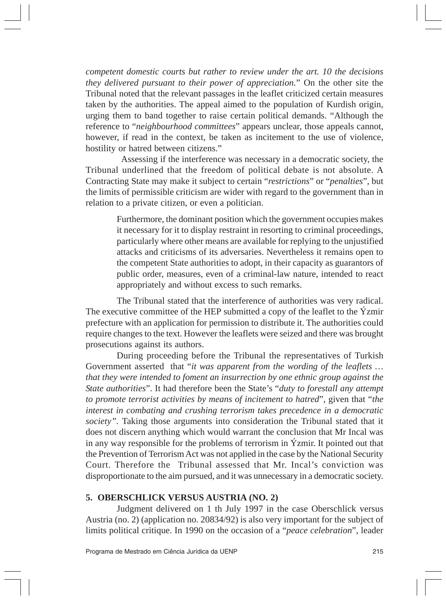competent domestic courts but rather to review under the art. 10 the decisions they delivered pursuant to their power of appreciation." On the other site the Tribunal noted that the relevant passages in the leaflet criticized certain measures taken by the authorities. The appeal aimed to the population of Kurdish origin, urging them to band together to raise certain political demands. "Although the reference to "*neighbourhood committees*" appears unclear, those appeals cannot, however, if read in the context, be taken as incitement to the use of violence, hostility or hatred between citizens."

Assessing if the interference was necessary in a democratic society, the Tribunal underlined that the freedom of political debate is not absolute. A Contracting State may make it subject to certain "restrictions" or "penalties", but the limits of permissible criticism are wider with regard to the government than in relation to a private citizen, or even a politician.

> Furthermore, the dominant position which the government occupies makes it necessary for it to display restraint in resorting to criminal proceedings, particularly where other means are available for replying to the unjustified attacks and criticisms of its adversaries. Nevertheless it remains open to the competent State authorities to adopt, in their capacity as guarantors of public order, measures, even of a criminal-law nature, intended to react appropriately and without excess to such remarks.

The Tribunal stated that the interference of authorities was very radical. The executive committee of the HEP submitted a copy of the leaflet to the Yzmir prefecture with an application for permission to distribute it. The authorities could require changes to the text. However the leaflets were seized and there was brought prosecutions against its authors.

During proceeding before the Tribunal the representatives of Turkish Government asserted that "it was apparent from the wording of the leaflets ... that they were intended to foment an insurrection by one ethnic group against the State authorities". It had therefore been the State's "duty to forestall any attempt to promote terrorist activities by means of incitement to hatred", given that "the interest in combating and crushing terrorism takes precedence in a democratic *society*". Taking those arguments into consideration the Tribunal stated that it does not discern anything which would warrant the conclusion that Mr Incal was in any way responsible for the problems of terrorism in Yzmir. It pointed out that the Prevention of Terrorism Act was not applied in the case by the National Security Court. Therefore the Tribunal assessed that Mr. Incal's conviction was disproportionate to the aim pursued, and it was unnecessary in a democratic society.

#### 5. OBERSCHLICK VERSUS AUSTRIA (NO. 2)

Judgment delivered on 1 th July 1997 in the case Oberschlick versus Austria (no. 2) (application no. 20834/92) is also very important for the subject of limits political critique. In 1990 on the occasion of a "*peace celebration*", leader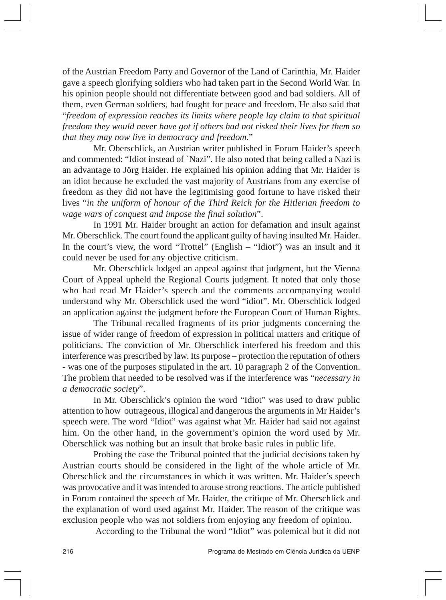of the Austrian Freedom Party and Governor of the Land of Carinthia, Mr. Haider gave a speech glorifying soldiers who had taken part in the Second World War. In his opinion people should not differentiate between good and bad soldiers. All of them, even German soldiers, had fought for peace and freedom. He also said that "freedom of expression reaches its limits where people lay claim to that spiritual freedom they would never have got if others had not risked their lives for them so that they may now live in democracy and freedom."

Mr. Oberschlick, an Austrian writer published in Forum Haider's speech and commented: "Idiot instead of `Nazi". He also noted that being called a Nazi is an advantage to Jörg Haider. He explained his opinion adding that Mr. Haider is an idiot because he excluded the vast majority of Austrians from any exercise of freedom as they did not have the legitimising good fortune to have risked their lives "in the uniform of honour of the Third Reich for the Hitlerian freedom to wage wars of conquest and impose the final solution".

In 1991 Mr. Haider brought an action for defamation and insult against Mr. Oberschlick. The court found the applicant guilty of having insulted Mr. Haider. In the court's view, the word "Trottel" (English – "Idiot") was an insult and it could never be used for any objective criticism.

Mr. Oberschlick lodged an appeal against that judgment, but the Vienna Court of Appeal upheld the Regional Courts judgment. It noted that only those who had read Mr Haider's speech and the comments accompanying would understand why Mr. Oberschlick used the word "idiot". Mr. Oberschlick lodged an application against the judgment before the European Court of Human Rights.

The Tribunal recalled fragments of its prior judgments concerning the issue of wider range of freedom of expression in political matters and critique of politicians. The conviction of Mr. Oberschlick interfered his freedom and this interference was prescribed by law. Its purpose – protection the reputation of others - was one of the purposes stipulated in the art. 10 paragraph 2 of the Convention. The problem that needed to be resolved was if the interference was "*necessary in* a democratic society".

In Mr. Oberschlick's opinion the word "Idiot" was used to draw public attention to how outrageous, illogical and dangerous the arguments in Mr Haider's speech were. The word "Idiot" was against what Mr. Haider had said not against him. On the other hand, in the government's opinion the word used by Mr. Oberschlick was nothing but an insult that broke basic rules in public life.

Probing the case the Tribunal pointed that the judicial decisions taken by Austrian courts should be considered in the light of the whole article of Mr. Oberschlick and the circumstances in which it was written. Mr. Haider's speech was provocative and it was intended to arouse strong reactions. The article published in Forum contained the speech of Mr. Haider, the critique of Mr. Oberschlick and the explanation of word used against Mr. Haider. The reason of the critique was exclusion people who was not soldiers from enjoying any freedom of opinion.

According to the Tribunal the word "Idiot" was polemical but it did not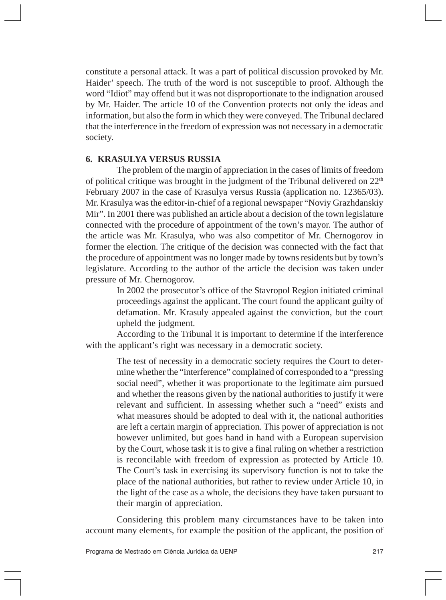constitute a personal attack. It was a part of political discussion provoked by Mr. Haider' speech. The truth of the word is not susceptible to proof. Although the word "Idiot" may offend but it was not disproportionate to the indignation aroused by Mr. Haider. The article 10 of the Convention protects not only the ideas and information, but also the form in which they were conveyed. The Tribunal declared that the interference in the freedom of expression was not necessary in a democratic society.

#### **6. KRASULYA VERSUS RUSSIA**

The problem of the margin of appreciation in the cases of limits of freedom of political critique was brought in the judgment of the Tribunal delivered on  $22<sup>th</sup>$ February 2007 in the case of Krasulya versus Russia (application no. 12365/03). Mr. Krasulya was the editor-in-chief of a regional newspaper "Noviy Grazhdanskiy" Mir". In 2001 there was published an article about a decision of the town legislature connected with the procedure of appointment of the town's mayor. The author of the article was Mr. Krasulya, who was also competitor of Mr. Chernogorov in former the election. The critique of the decision was connected with the fact that the procedure of appointment was no longer made by towns residents but by town's legislature. According to the author of the article the decision was taken under pressure of Mr. Chernogorov.

> In 2002 the prosecutor's office of the Stavropol Region initiated criminal proceedings against the applicant. The court found the applicant guilty of defamation. Mr. Krasuly appealed against the conviction, but the court upheld the judgment.

According to the Tribunal it is important to determine if the interference with the applicant's right was necessary in a democratic society.

> The test of necessity in a democratic society requires the Court to determine whether the "interference" complained of corresponded to a "pressing" social need", whether it was proportionate to the legitimate aim pursued and whether the reasons given by the national authorities to justify it were relevant and sufficient. In assessing whether such a "need" exists and what measures should be adopted to deal with it, the national authorities are left a certain margin of appreciation. This power of appreciation is not however unlimited, but goes hand in hand with a European supervision by the Court, whose task it is to give a final ruling on whether a restriction is reconcilable with freedom of expression as protected by Article 10. The Court's task in exercising its supervisory function is not to take the place of the national authorities, but rather to review under Article 10, in the light of the case as a whole, the decisions they have taken pursuant to their margin of appreciation.

Considering this problem many circumstances have to be taken into account many elements, for example the position of the applicant, the position of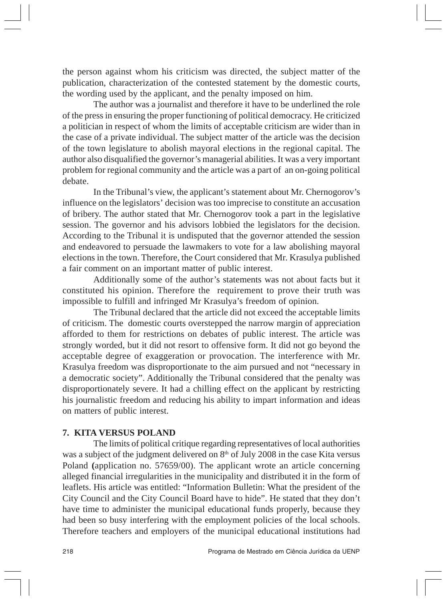the person against whom his criticism was directed, the subject matter of the publication, characterization of the contested statement by the domestic courts, the wording used by the applicant, and the penalty imposed on him.

The author was a journalist and therefore it have to be underlined the role of the press in ensuring the proper functioning of political democracy. He criticized a politician in respect of whom the limits of acceptable criticism are wider than in the case of a private individual. The subject matter of the article was the decision of the town legislature to abolish mayoral elections in the regional capital. The author also disqualified the governor's managerial abilities. It was a very important problem for regional community and the article was a part of an on-going political debate.

In the Tribunal's view, the applicant's statement about Mr. Chernogorov's influence on the legislators' decision was too imprecise to constitute an accusation of bribery. The author stated that Mr. Chernogorov took a part in the legislative session. The governor and his advisors lobbied the legislators for the decision. According to the Tribunal it is undisputed that the governor attended the session and endeavored to persuade the lawmakers to vote for a law abolishing mayoral elections in the town. Therefore, the Court considered that Mr. Krasulya published a fair comment on an important matter of public interest.

Additionally some of the author's statements was not about facts but it constituted his opinion. Therefore the requirement to prove their truth was impossible to fulfill and infringed Mr Krasulya's freedom of opinion.

The Tribunal declared that the article did not exceed the acceptable limits of criticism. The domestic courts overstepped the narrow margin of appreciation afforded to them for restrictions on debates of public interest. The article was strongly worded, but it did not resort to offensive form. It did not go beyond the acceptable degree of exaggeration or provocation. The interference with Mr. Krasulya freedom was disproportionate to the aim pursued and not "necessary in a democratic society". Additionally the Tribunal considered that the penalty was disproportionately severe. It had a chilling effect on the applicant by restricting his journalistic freedom and reducing his ability to impart information and ideas on matters of public interest.

## 7. KITA VERSUS POLAND

The limits of political critique regarding representatives of local authorities was a subject of the judgment delivered on  $8<sup>th</sup>$  of July 2008 in the case Kita versus Poland (application no. 57659/00). The applicant wrote an article concerning alleged financial irregularities in the municipality and distributed it in the form of leaflets. His article was entitled: "Information Bulletin: What the president of the City Council and the City Council Board have to hide". He stated that they don't have time to administer the municipal educational funds properly, because they had been so busy interfering with the employment policies of the local schools. Therefore teachers and employers of the municipal educational institutions had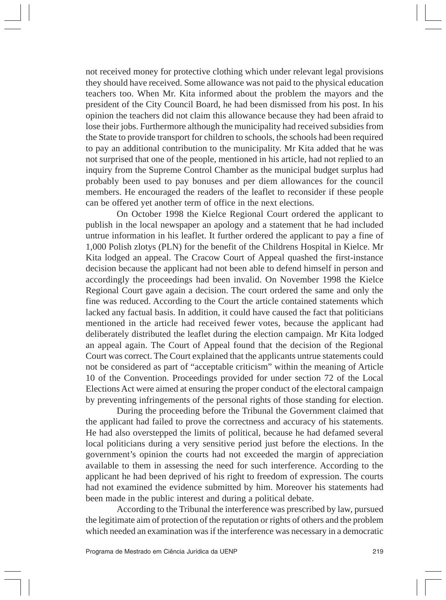not received money for protective clothing which under relevant legal provisions they should have received. Some allowance was not paid to the physical education teachers too. When Mr. Kita informed about the problem the mayors and the president of the City Council Board, he had been dismissed from his post. In his opinion the teachers did not claim this allowance because they had been afraid to lose their jobs. Furthermore although the municipality had received subsidies from the State to provide transport for children to schools, the schools had been required to pay an additional contribution to the municipality. Mr Kita added that he was not surprised that one of the people, mentioned in his article, had not replied to an inquiry from the Supreme Control Chamber as the municipal budget surplus had probably been used to pay bonuses and per diem allowances for the council members. He encouraged the readers of the leaflet to reconsider if these people can be offered yet another term of office in the next elections.

On October 1998 the Kielce Regional Court ordered the applicant to publish in the local newspaper an apology and a statement that he had included untrue information in his leaflet. It further ordered the applicant to pay a fine of 1,000 Polish zlotys (PLN) for the benefit of the Childrens Hospital in Kielce. Mr Kita lodged an appeal. The Cracow Court of Appeal quashed the first-instance decision because the applicant had not been able to defend himself in person and accordingly the proceedings had been invalid. On November 1998 the Kielce Regional Court gave again a decision. The court ordered the same and only the fine was reduced. According to the Court the article contained statements which lacked any factual basis. In addition, it could have caused the fact that politicians mentioned in the article had received fewer votes, because the applicant had deliberately distributed the leaflet during the election campaign. Mr Kita lodged an appeal again. The Court of Appeal found that the decision of the Regional Court was correct. The Court explained that the applicants untrue statements could not be considered as part of "acceptable criticism" within the meaning of Article 10 of the Convention. Proceedings provided for under section 72 of the Local Elections Act were aimed at ensuring the proper conduct of the electoral campaign by preventing infringements of the personal rights of those standing for election.

During the proceeding before the Tribunal the Government claimed that the applicant had failed to prove the correctness and accuracy of his statements. He had also overstepped the limits of political, because he had defamed several local politicians during a very sensitive period just before the elections. In the government's opinion the courts had not exceeded the margin of appreciation available to them in assessing the need for such interference. According to the applicant he had been deprived of his right to freedom of expression. The courts had not examined the evidence submitted by him. Moreover his statements had been made in the public interest and during a political debate.

According to the Tribunal the interference was prescribed by law, pursued the legitimate aim of protection of the reputation or rights of others and the problem which needed an examination was if the interference was necessary in a democratic

Programa de Mestrado em Ciência Jurídica da UENP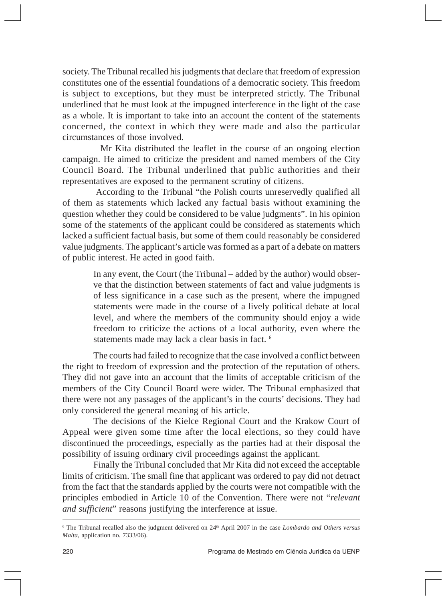society. The Tribunal recalled his judgments that declare that freedom of expression constitutes one of the essential foundations of a democratic society. This freedom is subject to exceptions, but they must be interpreted strictly. The Tribunal underlined that he must look at the impugned interference in the light of the case as a whole. It is important to take into an account the content of the statements concerned, the context in which they were made and also the particular circumstances of those involved.

Mr Kita distributed the leaflet in the course of an ongoing election campaign. He aimed to criticize the president and named members of the City Council Board. The Tribunal underlined that public authorities and their representatives are exposed to the permanent scrutiny of citizens.

According to the Tribunal "the Polish courts unreservedly qualified all of them as statements which lacked any factual basis without examining the question whether they could be considered to be value judgments". In his opinion some of the statements of the applicant could be considered as statements which lacked a sufficient factual basis, but some of them could reasonably be considered value judgments. The applicant's article was formed as a part of a debate on matters of public interest. He acted in good faith.

> In any event, the Court (the Tribunal - added by the author) would observe that the distinction between statements of fact and value judgments is of less significance in a case such as the present, where the impugned statements were made in the course of a lively political debate at local level, and where the members of the community should enjoy a wide freedom to criticize the actions of a local authority, even where the statements made may lack a clear basis in fact. <sup>6</sup>

The courts had failed to recognize that the case involved a conflict between the right to freedom of expression and the protection of the reputation of others. They did not gave into an account that the limits of acceptable criticism of the members of the City Council Board were wider. The Tribunal emphasized that there were not any passages of the applicant's in the courts' decisions. They had only considered the general meaning of his article.

The decisions of the Kielce Regional Court and the Krakow Court of Appeal were given some time after the local elections, so they could have discontinued the proceedings, especially as the parties had at their disposal the possibility of issuing ordinary civil proceedings against the applicant.

Finally the Tribunal concluded that Mr Kita did not exceed the acceptable limits of criticism. The small fine that applicant was ordered to pay did not detract from the fact that the standards applied by the courts were not compatible with the principles embodied in Article 10 of the Convention. There were not "relevant" and sufficient" reasons justifying the interference at issue.

<sup>&</sup>lt;sup>6</sup> The Tribunal recalled also the judgment delivered on 24<sup>th</sup> April 2007 in the case *Lombardo and Others versus* Malta, application no. 7333/06).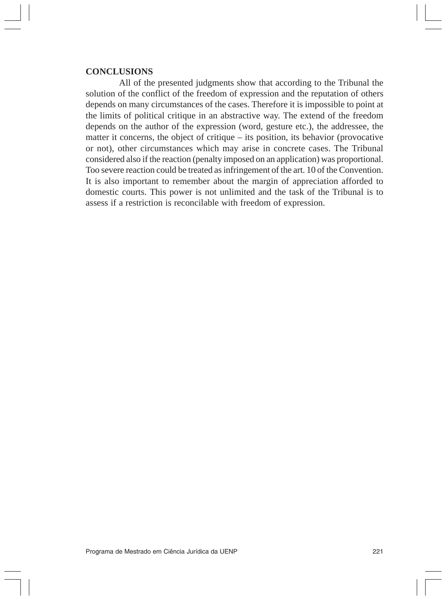## **CONCLUSIONS**

All of the presented judgments show that according to the Tribunal the solution of the conflict of the freedom of expression and the reputation of others depends on many circumstances of the cases. Therefore it is impossible to point at the limits of political critique in an abstractive way. The extend of the freedom depends on the author of the expression (word, gesture etc.), the addressee, the matter it concerns, the object of critique – its position, its behavior (provocative or not), other circumstances which may arise in concrete cases. The Tribunal considered also if the reaction (penalty imposed on an application) was proportional. Too severe reaction could be treated as infringement of the art. 10 of the Convention. It is also important to remember about the margin of appreciation afforded to domestic courts. This power is not unlimited and the task of the Tribunal is to assess if a restriction is reconcilable with freedom of expression.